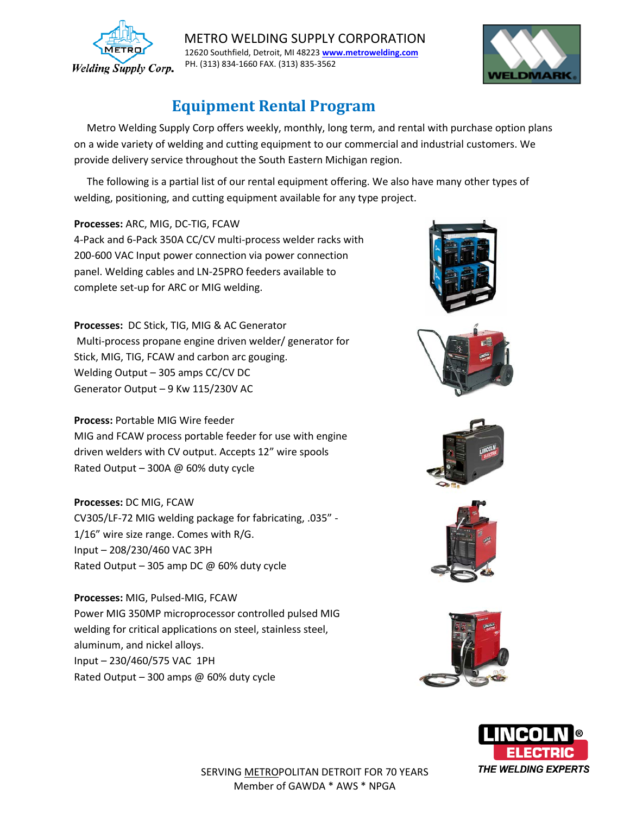

 METRO WELDING SUPPLY CORPORATION 12620 Southfield, Detroit, MI 4822[3](http://www.metrowelding.com/) **www.metrowelding.com** PH. (313) 834-1660 FAX. (313) 835-3562



## **Equipment Rental Program**

 Metro Welding Supply Corp offers weekly, monthly, long term, and rental with purchase option plans on a wide variety of welding and cutting equipment to our commercial and industrial customers. We provide delivery service throughout the South Eastern Michigan region.

 The following is a partial list of our rental equipment offering. We also have many other types of welding, positioning, and cutting equipment available for any type project.

**Processes:** ARC, MIG, DC-TIG, FCAW 4-Pack and 6-Pack 350A CC/CV multi-process welder racks with 200-600 VAC Input power connection via power connection panel. Welding cables and LN-25PRO feeders available to complete set-up for ARC or MIG welding.

**Processes:** DC Stick, TIG, MIG & AC Generator Multi-process propane engine driven welder/ generator for Stick, MIG, TIG, FCAW and carbon arc gouging. Welding Output – 305 amps CC/CV DC Generator Output – 9 Kw 115/230V AC

**Process:** Portable MIG Wire feeder

MIG and FCAW process portable feeder for use with engine driven welders with CV output. Accepts 12" wire spools Rated Output – 300A @ 60% duty cycle

**Processes:** DC MIG, FCAW

CV305/LF-72 MIG welding package for fabricating, .035" - 1/16" wire size range. Comes with R/G. Input – 208/230/460 VAC 3PH Rated Output – 305 amp DC  $\omega$  60% duty cycle

**Processes:** MIG, Pulsed-MIG, FCAW Power MIG 350MP microprocessor controlled pulsed MIG welding for critical applications on steel, stainless steel, aluminum, and nickel alloys. Input – 230/460/575 VAC 1PH Rated Output – 300 amps @ 60% duty cycle











SERVING METROPOLITAN DETROIT FOR 70 YEARS Member of GAWDA \* AWS \* NPGA